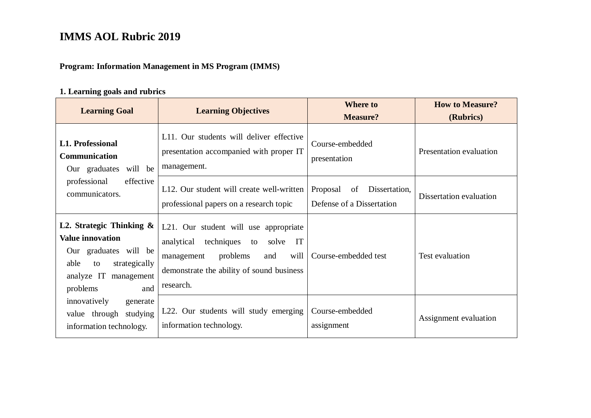#### **Program: Information Management in MS Program (IMMS)**

#### **1. Learning goals and rubrics**

| <b>Learning Goal</b>                                                                                                                                       | <b>Learning Objectives</b>                                                                                                                                                             | <b>Where to</b><br><b>Measure?</b>                           | <b>How to Measure?</b><br>(Rubrics) |
|------------------------------------------------------------------------------------------------------------------------------------------------------------|----------------------------------------------------------------------------------------------------------------------------------------------------------------------------------------|--------------------------------------------------------------|-------------------------------------|
| <b>L1. Professional</b><br><b>Communication</b><br>Our graduates will be                                                                                   | L11. Our students will deliver effective<br>presentation accompanied with proper IT<br>management.                                                                                     | Course-embedded<br>presentation                              | Presentation evaluation             |
| professional<br>effective<br>communicators.                                                                                                                | L12. Our student will create well-written<br>professional papers on a research topic                                                                                                   | Dissertation,<br>Proposal<br>of<br>Defense of a Dissertation | Dissertation evaluation             |
| L2. Strategic Thinking $\&$<br><b>Value innovation</b><br>Our graduates will be<br>able<br>strategically<br>to<br>analyze IT management<br>problems<br>and | L21. Our student will use appropriate<br>analytical<br>techniques to<br>IT<br>solve<br>problems<br>will<br>management<br>and<br>demonstrate the ability of sound business<br>research. | Course-embedded test                                         | Test evaluation                     |
| innovatively<br>generate<br>value through studying<br>information technology.                                                                              | L22. Our students will study emerging<br>information technology.                                                                                                                       | Course-embedded<br>assignment                                | Assignment evaluation               |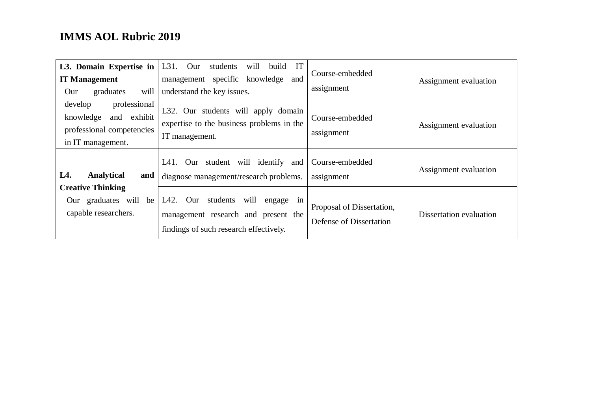| L3. Domain Expertise in<br><b>IT Management</b><br>will<br>graduates<br>Our                           | IT<br>will<br>$L31.$ Our<br>students<br>build<br>management specific knowledge and<br>understand the key issues.                 | Course-embedded<br>assignment                        | Assignment evaluation   |
|-------------------------------------------------------------------------------------------------------|----------------------------------------------------------------------------------------------------------------------------------|------------------------------------------------------|-------------------------|
| professional<br>develop<br>knowledge<br>and exhibit<br>professional competencies<br>in IT management. | L32. Our students will apply domain<br>expertise to the business problems in the<br>IT management.                               | Course-embedded<br>assignment                        | Assignment evaluation   |
| L4.<br>Analytical<br>and                                                                              | L41. Our student will identify and<br>diagnose management/research problems.                                                     | Course-embedded<br>assignment                        | Assignment evaluation   |
| <b>Creative Thinking</b><br>Our graduates will be<br>capable researchers.                             | Our<br>students<br>will<br>L42.<br>engage<br>in<br>management research and present the<br>findings of such research effectively. | Proposal of Dissertation,<br>Defense of Dissertation | Dissertation evaluation |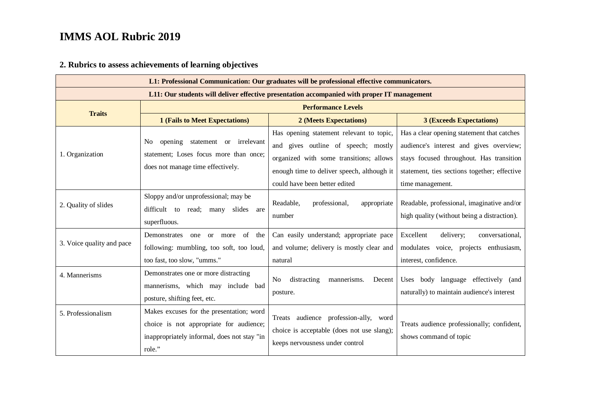#### **2. Rubrics to assess achievements of learning objectives**

| L1: Professional Communication: Our graduates will be professional effective communicators. |                                                                                                                                              |                                                                                                                                                                                                           |                                                                                                                                                                                                       |  |
|---------------------------------------------------------------------------------------------|----------------------------------------------------------------------------------------------------------------------------------------------|-----------------------------------------------------------------------------------------------------------------------------------------------------------------------------------------------------------|-------------------------------------------------------------------------------------------------------------------------------------------------------------------------------------------------------|--|
| L11: Our students will deliver effective presentation accompanied with proper IT management |                                                                                                                                              |                                                                                                                                                                                                           |                                                                                                                                                                                                       |  |
|                                                                                             |                                                                                                                                              | <b>Performance Levels</b>                                                                                                                                                                                 |                                                                                                                                                                                                       |  |
| <b>Traits</b>                                                                               | <b>1 (Fails to Meet Expectations)</b>                                                                                                        | 2 (Meets Expectations)                                                                                                                                                                                    | <b>3 (Exceeds Expectations)</b>                                                                                                                                                                       |  |
| 1. Organization                                                                             | opening<br>statement or irrelevant<br>N <sub>o</sub><br>statement; Loses focus more than once;<br>does not manage time effectively.          | Has opening statement relevant to topic,<br>and gives outline of speech; mostly<br>organized with some transitions; allows<br>enough time to deliver speech, although it<br>could have been better edited | Has a clear opening statement that catches<br>audience's interest and gives overview;<br>stays focused throughout. Has transition<br>statement, ties sections together; effective<br>time management. |  |
| 2. Quality of slides                                                                        | Sloppy and/or unprofessional; may be<br>difficult to read;<br>slides are<br>many<br>superfluous.                                             | Readable,<br>professional,<br>appropriate<br>number                                                                                                                                                       | Readable, professional, imaginative and/or<br>high quality (without being a distraction).                                                                                                             |  |
| 3. Voice quality and pace                                                                   | Demonstrates<br>of the<br>one<br><sub>or</sub><br>more<br>following: mumbling, too soft, too loud,<br>too fast, too slow, "umms."            | Can easily understand; appropriate pace<br>and volume; delivery is mostly clear and<br>natural                                                                                                            | Excellent<br>delivery;<br>conversational,<br>modulates voice, projects enthusiasm,<br>interest, confidence.                                                                                           |  |
| 4. Mannerisms                                                                               | Demonstrates one or more distracting<br>mannerisms, which may include bad<br>posture, shifting feet, etc.                                    | distracting<br>mannerisms.<br>Decent<br>N <sub>o</sub><br>posture.                                                                                                                                        | Uses body language effectively (and<br>naturally) to maintain audience's interest                                                                                                                     |  |
| 5. Professionalism                                                                          | Makes excuses for the presentation; word<br>choice is not appropriate for audience;<br>inappropriately informal, does not stay "in<br>role." | Treats audience profession-ally, word<br>choice is acceptable (does not use slang);<br>keeps nervousness under control                                                                                    | Treats audience professionally; confident,<br>shows command of topic                                                                                                                                  |  |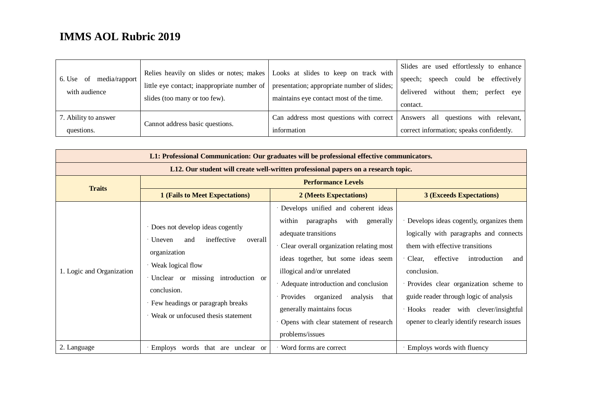| of<br>media/rapport  <br>6. Use<br>with audience | little eye contact; inappropriate number of<br>slides (too many or too few). | Relies heavily on slides or notes; makes   Looks at slides to keep on track with<br>presentation; appropriate number of slides;<br>maintains eye contact most of the time. | Slides are used effortlessly to enhance<br>speech could be effectively<br>speech;<br>without<br>delivered<br>them; perfect eye<br>contact. |
|--------------------------------------------------|------------------------------------------------------------------------------|----------------------------------------------------------------------------------------------------------------------------------------------------------------------------|--------------------------------------------------------------------------------------------------------------------------------------------|
| 7. Ability to answer                             | Cannot address basic questions.                                              |                                                                                                                                                                            | Can address most questions with correct Answers all questions with relevant,                                                               |
| questions.                                       |                                                                              | information                                                                                                                                                                | correct information; speaks confidently.                                                                                                   |

| L1: Professional Communication: Our graduates will be professional effective communicators. |                                                                                                                                                                                                                                                |                                                                                                                                                                                                                                                                                                                                                                                                            |                                                                                                                                                                                                                                                                                                                                                                 |  |  |  |
|---------------------------------------------------------------------------------------------|------------------------------------------------------------------------------------------------------------------------------------------------------------------------------------------------------------------------------------------------|------------------------------------------------------------------------------------------------------------------------------------------------------------------------------------------------------------------------------------------------------------------------------------------------------------------------------------------------------------------------------------------------------------|-----------------------------------------------------------------------------------------------------------------------------------------------------------------------------------------------------------------------------------------------------------------------------------------------------------------------------------------------------------------|--|--|--|
|                                                                                             | L12. Our student will create well-written professional papers on a research topic.                                                                                                                                                             |                                                                                                                                                                                                                                                                                                                                                                                                            |                                                                                                                                                                                                                                                                                                                                                                 |  |  |  |
| <b>Traits</b>                                                                               |                                                                                                                                                                                                                                                | <b>Performance Levels</b>                                                                                                                                                                                                                                                                                                                                                                                  |                                                                                                                                                                                                                                                                                                                                                                 |  |  |  |
|                                                                                             | <b>1 (Fails to Meet Expectations)</b>                                                                                                                                                                                                          | 2 (Meets Expectations)                                                                                                                                                                                                                                                                                                                                                                                     | <b>3 (Exceeds Expectations)</b>                                                                                                                                                                                                                                                                                                                                 |  |  |  |
| 1. Logic and Organization                                                                   | Does not develop ideas cogently<br>ineffective<br>Uneven<br>overall<br>and<br>organization<br>Weak logical flow<br>Unclear or missing introduction or<br>conclusion.<br>Few headings or paragraph breaks<br>Weak or unfocused thesis statement | · Develops unified and coherent ideas<br>paragraphs<br>with<br>within<br>generally<br>adequate transitions<br>Clear overall organization relating most<br>ideas together, but some ideas seem<br>illogical and/or unrelated<br>Adequate introduction and conclusion<br>organized<br>analysis<br>Provides<br>that<br>generally maintains focus<br>Opens with clear statement of research<br>problems/issues | · Develops ideas cogently, organizes them<br>logically with paragraphs and connects<br>them with effective transitions<br>effective<br>Clear,<br>introduction<br>and<br>conclusion.<br>· Provides clear organization scheme to<br>guide reader through logic of analysis<br>· Hooks reader with clever/insightful<br>opener to clearly identify research issues |  |  |  |
| 2. Language                                                                                 | Employs words that are unclear or                                                                                                                                                                                                              | Word forms are correct                                                                                                                                                                                                                                                                                                                                                                                     | · Employs words with fluency                                                                                                                                                                                                                                                                                                                                    |  |  |  |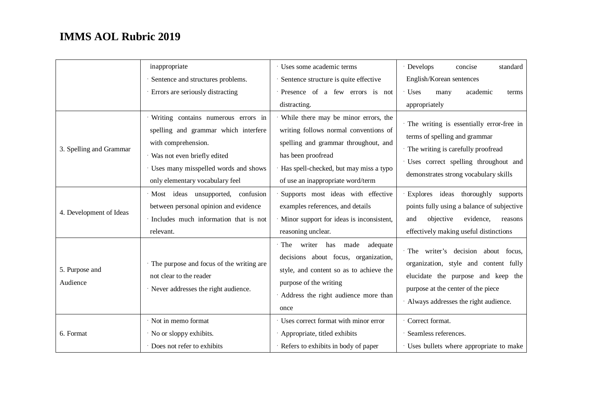|                            | inappropriate                                                                                                                                                                                                | Uses some academic terms                                                                                                                                                                                                   | · Develops<br>standard<br>concise                                                                                                                                                                    |
|----------------------------|--------------------------------------------------------------------------------------------------------------------------------------------------------------------------------------------------------------|----------------------------------------------------------------------------------------------------------------------------------------------------------------------------------------------------------------------------|------------------------------------------------------------------------------------------------------------------------------------------------------------------------------------------------------|
|                            | Sentence and structures problems.                                                                                                                                                                            | Sentence structure is quite effective                                                                                                                                                                                      | English/Korean sentences                                                                                                                                                                             |
|                            | Errors are seriously distracting                                                                                                                                                                             | · Presence of a few errors is not                                                                                                                                                                                          | $\cdot$ Uses<br>academic<br>many<br>terms                                                                                                                                                            |
|                            |                                                                                                                                                                                                              | distracting.                                                                                                                                                                                                               | appropriately                                                                                                                                                                                        |
| 3. Spelling and Grammar    | Writing contains numerous errors in<br>spelling and grammar which interfere<br>with comprehension.<br>Was not even briefly edited<br>Uses many misspelled words and shows<br>only elementary vocabulary feel | While there may be minor errors, the<br>writing follows normal conventions of<br>spelling and grammar throughout, and<br>has been proofread<br>Has spell-checked, but may miss a typo<br>of use an inappropriate word/term | The writing is essentially error-free in<br>terms of spelling and grammar<br>· The writing is carefully proofread<br>· Uses correct spelling throughout and<br>demonstrates strong vocabulary skills |
| 4. Development of Ideas    | · Most ideas unsupported, confusion<br>between personal opinion and evidence<br>Includes much information that is not<br>relevant.                                                                           | Supports most ideas with effective<br>examples references, and details<br>· Minor support for ideas is inconsistent,<br>reasoning unclear.                                                                                 | · Explores ideas thoroughly supports<br>points fully using a balance of subjective<br>objective<br>evidence,<br>and<br>reasons<br>effectively making useful distinctions                             |
| 5. Purpose and<br>Audience | The purpose and focus of the writing are<br>not clear to the reader<br>· Never addresses the right audience.                                                                                                 | The writer has made<br>adequate<br>decisions about focus, organization,<br>style, and content so as to achieve the<br>purpose of the writing<br>Address the right audience more than<br>once                               | · The writer's decision about focus,<br>organization, style and content fully<br>elucidate the purpose and keep the<br>purpose at the center of the piece<br>Always addresses the right audience.    |
| 6. Format                  | Not in memo format<br>· No or sloppy exhibits.<br>· Does not refer to exhibits                                                                                                                               | Uses correct format with minor error<br>Appropriate, titled exhibits<br>· Refers to exhibits in body of paper                                                                                                              | · Correct format.<br>Seamless references.<br>· Uses bullets where appropriate to make                                                                                                                |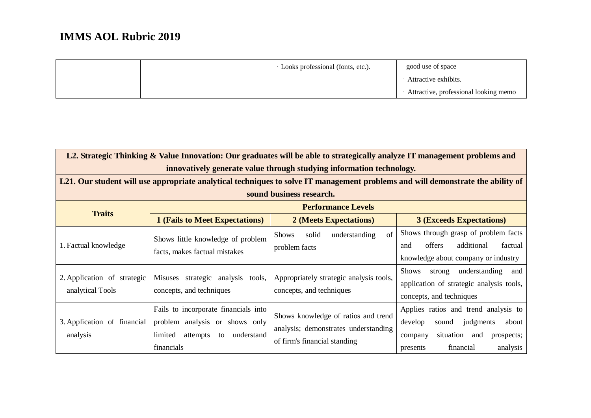|  | Looks professional (fonts, etc.). | good use of space                     |
|--|-----------------------------------|---------------------------------------|
|  |                                   | Attractive exhibits.                  |
|  |                                   | Attractive, professional looking memo |

| L2. Strategic Thinking & Value Innovation: Our graduates will be able to strategically analyze IT management problems and |                                                                                                                                 |                                                                                                             |                                                                                                                                                               |  |  |
|---------------------------------------------------------------------------------------------------------------------------|---------------------------------------------------------------------------------------------------------------------------------|-------------------------------------------------------------------------------------------------------------|---------------------------------------------------------------------------------------------------------------------------------------------------------------|--|--|
|                                                                                                                           | innovatively generate value through studying information technology.                                                            |                                                                                                             |                                                                                                                                                               |  |  |
|                                                                                                                           |                                                                                                                                 |                                                                                                             | L21. Our student will use appropriate analytical techniques to solve IT management problems and will demonstrate the ability of                               |  |  |
|                                                                                                                           |                                                                                                                                 | sound business research.                                                                                    |                                                                                                                                                               |  |  |
|                                                                                                                           |                                                                                                                                 | <b>Performance Levels</b>                                                                                   |                                                                                                                                                               |  |  |
| <b>Traits</b>                                                                                                             | <b>1 (Fails to Meet Expectations)</b>                                                                                           | 2 (Meets Expectations)                                                                                      | <b>3 (Exceeds Expectations)</b>                                                                                                                               |  |  |
| 1. Factual knowledge                                                                                                      | Shows little knowledge of problem<br>facts, makes factual mistakes                                                              | solid<br>of<br>understanding<br><b>Shows</b><br>problem facts                                               | Shows through grasp of problem facts<br>additional<br>offers<br>factual<br>and<br>knowledge about company or industry                                         |  |  |
| 2. Application of strategic<br>analytical Tools                                                                           | Misuses strategic analysis tools,<br>concepts, and techniques                                                                   | Appropriately strategic analysis tools,<br>concepts, and techniques                                         | understanding<br>Shows<br>strong<br>and<br>application of strategic analysis tools,<br>concepts, and techniques                                               |  |  |
| 3. Application of financial<br>analysis                                                                                   | Fails to incorporate financials into<br>problem analysis or shows only<br>limited<br>understand<br>attempts<br>to<br>financials | Shows knowledge of ratios and trend<br>analysis; demonstrates understanding<br>of firm's financial standing | Applies ratios and trend analysis to<br>develop<br>judgments<br>about<br>sound<br>situation and<br>prospects;<br>company<br>financial<br>analysis<br>presents |  |  |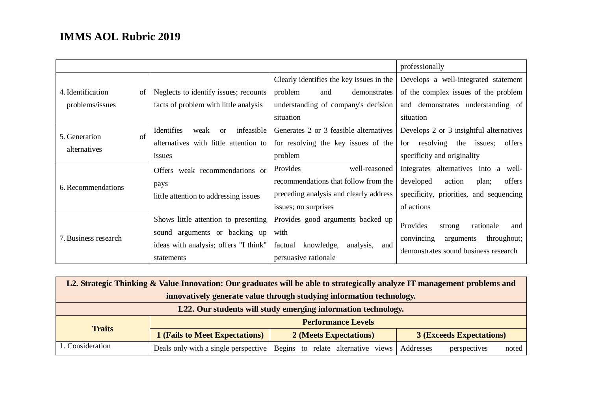|                             |                                              |                                           | professionally                                                   |
|-----------------------------|----------------------------------------------|-------------------------------------------|------------------------------------------------------------------|
|                             |                                              | Clearly identifies the key issues in the  | Develops a well-integrated statement                             |
| 4. Identification<br>of     | Neglects to identify issues; recounts        | problem<br>demonstrates<br>and            | of the complex issues of the problem                             |
| problems/issues             | facts of problem with little analysis        | understanding of company's decision       | and demonstrates understanding of                                |
|                             |                                              | situation                                 | situation                                                        |
| $\sigma$ f<br>5. Generation | infeasible<br>Identifies<br>weak<br>$\alpha$ | Generates 2 or 3 feasible alternatives    | Develops 2 or 3 insightful alternatives                          |
| alternatives                | alternatives with little attention to        | for resolving the key issues of the       | for resolving<br>offers<br>the issues;                           |
|                             | issues                                       | problem                                   | specificity and originality                                      |
|                             | Offers weak recommendations or               | Provides<br>well-reasoned                 | Integrates alternatives into a well-                             |
| 6. Recommendations          | pays                                         | recommendations that follow from the      | developed<br>offers<br>action<br>plan;                           |
|                             | little attention to addressing issues        | preceding analysis and clearly address    | specificity, priorities, and sequencing                          |
|                             |                                              | issues; no surprises                      | of actions                                                       |
|                             | Shows little attention to presenting         | Provides good arguments backed up         | Provides<br>rationale<br>and                                     |
| 7. Business research        | sound arguments or backing up                | with                                      | strong<br>convincing                                             |
|                             | ideas with analysis; offers "I think"        | knowledge,<br>factual<br>analysis,<br>and | throughout;<br>arguments<br>demonstrates sound business research |
|                             | statements                                   | persuasive rationale                      |                                                                  |

| L2. Strategic Thinking & Value Innovation: Our graduates will be able to strategically analyze IT management problems and |                                      |                                    |                                    |  |  |
|---------------------------------------------------------------------------------------------------------------------------|--------------------------------------|------------------------------------|------------------------------------|--|--|
| innovatively generate value through studying information technology.                                                      |                                      |                                    |                                    |  |  |
| L22. Our students will study emerging information technology.                                                             |                                      |                                    |                                    |  |  |
|                                                                                                                           |                                      | <b>Performance Levels</b>          |                                    |  |  |
| <b>Traits</b><br><b>1 (Fails to Meet Expectations)</b><br>2 (Meets Expectations)<br><b>3 (Exceeds Expectations)</b>       |                                      |                                    |                                    |  |  |
| 1. Consideration                                                                                                          | Deals only with a single perspective | Begins to relate alternative views | Addresses<br>perspectives<br>noted |  |  |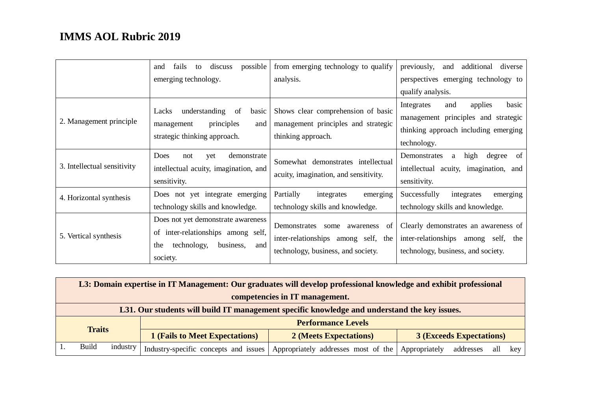|                             | discuss<br>possible<br>fails<br>to<br>and<br>emerging technology.                                                              | from emerging technology to qualify<br>analysis.                                                               | previously,<br>additional<br>and<br>diverse<br>perspectives emerging technology to                                                  |
|-----------------------------|--------------------------------------------------------------------------------------------------------------------------------|----------------------------------------------------------------------------------------------------------------|-------------------------------------------------------------------------------------------------------------------------------------|
|                             |                                                                                                                                |                                                                                                                | qualify analysis.                                                                                                                   |
| 2. Management principle     | understanding<br>Lacks<br>-of<br>basic<br>principles<br>management<br>and<br>strategic thinking approach.                      | Shows clear comprehension of basic<br>management principles and strategic<br>thinking approach.                | applies<br>and<br>Integrates<br>basic<br>management principles and strategic<br>thinking approach including emerging<br>technology. |
| 3. Intellectual sensitivity | Does<br>demonstrate<br>yet<br>not<br>intellectual acuity, imagination, and<br>sensitivity.                                     | Somewhat demonstrates intellectual<br>acuity, imagination, and sensitivity.                                    | high<br>degree<br>Demonstrates<br><sub>of</sub><br>a<br>intellectual acuity, imagination, and<br>sensitivity.                       |
| 4. Horizontal synthesis     | Does not yet integrate emerging<br>technology skills and knowledge.                                                            | Partially<br>integrates<br>emerging<br>technology skills and knowledge.                                        | Successfully<br>integrates<br>emerging<br>technology skills and knowledge.                                                          |
| 5. Vertical synthesis       | Does not yet demonstrate awareness<br>of inter-relationships among self,<br>technology,<br>business,<br>the<br>and<br>society. | Demonstrates some awareness<br>of<br>inter-relationships among self, the<br>technology, business, and society. | Clearly demonstrates an awareness of<br>inter-relationships among self,<br>the<br>technology, business, and society.                |

|               | L3: Domain expertise in IT Management: Our graduates will develop professional knowledge and exhibit professional |          |                                       |                                     |                                          |  |  |
|---------------|-------------------------------------------------------------------------------------------------------------------|----------|---------------------------------------|-------------------------------------|------------------------------------------|--|--|
|               | competencies in IT management.                                                                                    |          |                                       |                                     |                                          |  |  |
|               | L31. Our students will build IT management specific knowledge and understand the key issues.                      |          |                                       |                                     |                                          |  |  |
|               |                                                                                                                   |          |                                       | <b>Performance Levels</b>           |                                          |  |  |
| <b>Traits</b> |                                                                                                                   |          | <b>1 (Fails to Meet Expectations)</b> | 2 (Meets Expectations)              | <b>3 (Exceeds Expectations)</b>          |  |  |
|               | <b>Build</b>                                                                                                      | industry | Industry-specific concepts and issues | Appropriately addresses most of the | Appropriately<br>all<br>addresses<br>key |  |  |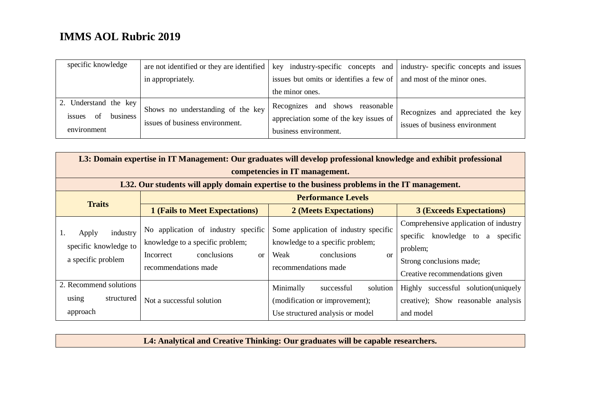| specific knowledge                                               |                                                                      | are not identified or they are identified $\vert$ key industry-specific concepts and $\vert$ industry-specific concepts and issues |                                                                      |
|------------------------------------------------------------------|----------------------------------------------------------------------|------------------------------------------------------------------------------------------------------------------------------------|----------------------------------------------------------------------|
|                                                                  | in appropriately.                                                    | issues but omits or identifies a few of   and most of the minor ones.                                                              |                                                                      |
|                                                                  |                                                                      | the minor ones.                                                                                                                    |                                                                      |
| 2. Understand the key<br>business<br>issues<br>of<br>environment | Shows no understanding of the key<br>issues of business environment. | Recognizes and shows reasonable<br>appreciation some of the key issues of<br>business environment.                                 | Recognizes and appreciated the key<br>issues of business environment |

| L3: Domain expertise in IT Management: Our graduates will develop professional knowledge and exhibit professional |                                                                                                                                              |                                                                                                                                           |                                                                                                                                                        |  |
|-------------------------------------------------------------------------------------------------------------------|----------------------------------------------------------------------------------------------------------------------------------------------|-------------------------------------------------------------------------------------------------------------------------------------------|--------------------------------------------------------------------------------------------------------------------------------------------------------|--|
| competencies in IT management.                                                                                    |                                                                                                                                              |                                                                                                                                           |                                                                                                                                                        |  |
| L32. Our students will apply domain expertise to the business problems in the IT management.                      |                                                                                                                                              |                                                                                                                                           |                                                                                                                                                        |  |
| <b>Traits</b>                                                                                                     | <b>Performance Levels</b>                                                                                                                    |                                                                                                                                           |                                                                                                                                                        |  |
|                                                                                                                   | <b>1 (Fails to Meet Expectations)</b>                                                                                                        | 2 (Meets Expectations)                                                                                                                    | <b>3 (Exceeds Expectations)</b>                                                                                                                        |  |
| industry<br>Apply<br>specific knowledge to<br>a specific problem                                                  | No application of industry specific<br>knowledge to a specific problem;<br>conclusions<br>Incorrect<br><sub>or</sub><br>recommendations made | Some application of industry specific<br>knowledge to a specific problem;<br>Weak<br>conclusions<br><sub>or</sub><br>recommendations made | Comprehensive application of industry<br>specific knowledge to a<br>specific<br>problem;<br>Strong conclusions made;<br>Creative recommendations given |  |
| 2. Recommend solutions<br>using<br>structured<br>approach                                                         | Not a successful solution                                                                                                                    | Minimally<br>solution<br>successful<br>(modification or improvement);<br>Use structured analysis or model                                 | successful solution(uniquely<br>Highly<br>creative); Show reasonable analysis<br>and model                                                             |  |

**L4: Analytical and Creative Thinking: Our graduates will be capable researchers.**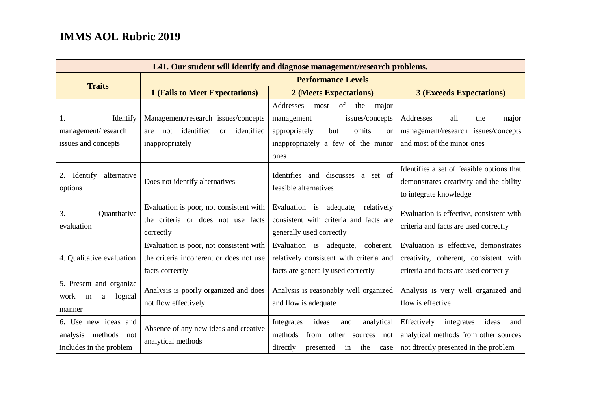| L41. Our student will identify and diagnose management/research problems.  |                                                                                                                   |                                                                                                                                                                   |                                                                                                                             |
|----------------------------------------------------------------------------|-------------------------------------------------------------------------------------------------------------------|-------------------------------------------------------------------------------------------------------------------------------------------------------------------|-----------------------------------------------------------------------------------------------------------------------------|
|                                                                            | <b>Performance Levels</b>                                                                                         |                                                                                                                                                                   |                                                                                                                             |
| <b>Traits</b>                                                              | <b>1 (Fails to Meet Expectations)</b>                                                                             | 2 (Meets Expectations)                                                                                                                                            | <b>3 (Exceeds Expectations)</b>                                                                                             |
| Identify<br>1.<br>management/research<br>issues and concepts               | Management/research issues/concepts<br>identified<br>identified<br><sub>or</sub><br>not<br>are<br>inappropriately | Addresses<br>of the<br>most<br>major<br>issues/concepts<br>management<br>appropriately<br>omits<br>but<br><b>or</b><br>inappropriately a few of the minor<br>ones | Addresses<br>all<br>the<br>major<br>management/research issues/concepts<br>and most of the minor ones                       |
| 2. Identify<br>alternative<br>options                                      | Does not identify alternatives                                                                                    | Identifies and discusses a set of<br>feasible alternatives                                                                                                        | Identifies a set of feasible options that<br>demonstrates creativity and the ability<br>to integrate knowledge              |
| 3.<br>Quantitative<br>evaluation                                           | Evaluation is poor, not consistent with<br>the criteria or does not use facts<br>correctly                        | Evaluation is adequate, relatively<br>consistent with criteria and facts are<br>generally used correctly                                                          | Evaluation is effective, consistent with<br>criteria and facts are used correctly                                           |
| 4. Qualitative evaluation                                                  | Evaluation is poor, not consistent with<br>the criteria incoherent or does not use<br>facts correctly             | Evaluation is adequate, coherent,<br>relatively consistent with criteria and<br>facts are generally used correctly                                                | Evaluation is effective, demonstrates<br>creativity, coherent, consistent with<br>criteria and facts are used correctly     |
| 5. Present and organize<br>work<br>logical<br>in<br>a<br>manner            | Analysis is poorly organized and does<br>not flow effectively                                                     | Analysis is reasonably well organized<br>and flow is adequate                                                                                                     | Analysis is very well organized and<br>flow is effective                                                                    |
| 6. Use new ideas and<br>analysis methods<br>not<br>includes in the problem | Absence of any new ideas and creative<br>analytical methods                                                       | Integrates<br>ideas<br>analytical<br>and<br>methods<br>from<br>other<br>sources not<br>directly<br>presented in<br>the<br>case                                    | Effectively<br>integrates<br>ideas<br>and<br>analytical methods from other sources<br>not directly presented in the problem |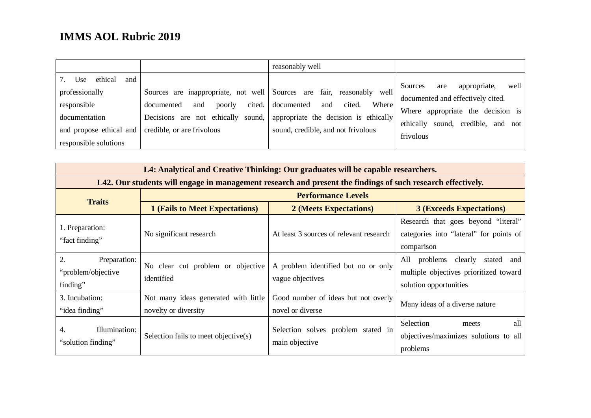|                                                                                                                             |                                                                                                                                                                               | reasonably well                                                                                                             |                                                                                                                                                                        |
|-----------------------------------------------------------------------------------------------------------------------------|-------------------------------------------------------------------------------------------------------------------------------------------------------------------------------|-----------------------------------------------------------------------------------------------------------------------------|------------------------------------------------------------------------------------------------------------------------------------------------------------------------|
| ethical<br>Use<br>and<br>professionally<br>responsible<br>documentation<br>and propose ethical and<br>responsible solutions | Sources are inappropriate, not well Sources are fair, reasonably<br>cited.<br>documented<br>poorly<br>and<br>Decisions are not ethically sound,<br>credible, or are frivolous | well<br>Where<br>documented<br>cited.<br>and<br>appropriate the decision is ethically<br>sound, credible, and not frivolous | well<br>appropriate,<br>Sources<br>are<br>documented and effectively cited.<br>Where appropriate the decision is<br>sound, credible, and not<br>ethically<br>frivolous |

| L4: Analytical and Creative Thinking: Our graduates will be capable researchers.                            |                                                              |                                                         |                                                                                                                 |  |
|-------------------------------------------------------------------------------------------------------------|--------------------------------------------------------------|---------------------------------------------------------|-----------------------------------------------------------------------------------------------------------------|--|
| L42. Our students will engage in management research and present the findings of such research effectively. |                                                              |                                                         |                                                                                                                 |  |
| <b>Performance Levels</b>                                                                                   |                                                              |                                                         |                                                                                                                 |  |
| <b>Traits</b>                                                                                               | <b>1 (Fails to Meet Expectations)</b>                        | 2 (Meets Expectations)                                  | <b>3 (Exceeds Expectations)</b>                                                                                 |  |
| 1. Preparation:<br>"fact finding"                                                                           | No significant research                                      | At least 3 sources of relevant research                 | Research that goes beyond "literal"<br>categories into "lateral" for points of<br>comparison                    |  |
| 2.<br>Preparation:<br>"problem/objective"<br>finding"                                                       | No clear cut problem or objective<br>identified              | A problem identified but no or only<br>vague objectives | problems<br>All<br>clearly<br>stated<br>and<br>multiple objectives prioritized toward<br>solution opportunities |  |
| 3. Incubation:<br>"idea finding"                                                                            | Not many ideas generated with little<br>novelty or diversity | Good number of ideas but not overly<br>novel or diverse | Many ideas of a diverse nature                                                                                  |  |
| Illumination:<br>4.<br>"solution finding"                                                                   | Selection fails to meet objective(s)                         | Selection solves problem stated in<br>main objective    | Selection<br>all<br>meets<br>objectives/maximizes solutions to all<br>problems                                  |  |